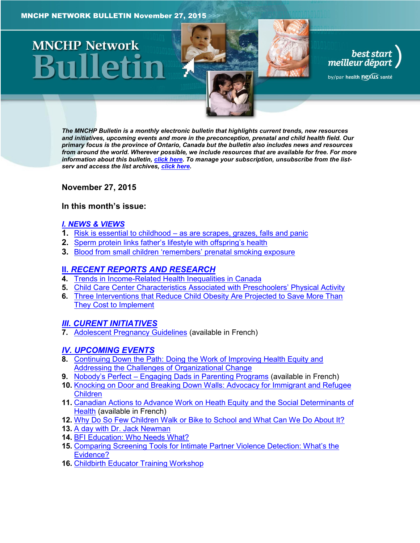# **MNCHP Network**

*The MNCHP Bulletin is a monthly electronic bulletin that highlights current trends, new resources and initiatives, upcoming events and more in the preconception, prenatal and child health field. Our primary focus is the province of Ontario, Canada but the bulletin also includes news and resources from around the world. Wherever possible, we include resources that are available for free. For more information about this bulletin[, click here.](#page-10-0) To manage your subscription, unsubscribe from the listserv and access the list archives, [click here.](http://en.beststart.org/services/information-exchange)* 

best start<br>, meilleur départ

by/par health nexus santé

<span id="page-0-0"></span>**November 27, 2015**

#### **In this month's issue:**

#### *[I. NEWS & VIEWS](#page-1-0)*

- **1.** Risk is essential to childhood [as are scrapes, grazes, falls and panic](#page-1-1)
- **2.** [Sperm protein links father's lifestyle with offspring's health](#page-1-2)
- **3.** Blood from small c[hildren 'remembers' prenatal smoking exposure](#page-2-0)

#### **II.** *[RECENT REPORTS AND RESEARCH](#page-2-1)*

- **4.** [Trends in Income-Related Health Inequalities in Canada](#page-2-2)
- **5.** Child Care [Center Characteristics Associated with Preschoolers' Physical Activity](#page-3-0)
- **6.** [Three Interventions that Reduce Child Obesity Are Projected to Save More Than](#page-4-0)  [They Cost to Implement](#page-4-0)

#### *[III. CURENT INITIATIVES](#page-4-1)*

**7.** [Adolescent Pregnancy Guidelines](#page-4-2) (available in French)

#### *[IV. UPCOMING EVENTS](#page-5-0)*

- **8.** [Continuing Down the Path: Doing the Work of Improving Health Equity and](#page-5-1)  [Addressing the Challenges of Organizational Change](#page-5-1)
- **9.** Nobody's Perfect [Engaging Dads in Parenting Programs](#page-5-2) (available in French)
- **10.** [Knocking on Door and Breaking Down Walls: Advocacy for Immigrant and Refugee](#page-5-3)  [Children](#page-5-3)
- **11.** [Canadian Actions to Advance Work on Heath Equity and the Social Determinants of](#page-6-0)  [Health](#page-6-0) (available in French)
- **12.** [Why Do So Few Children Walk or Bike to School and What Can We Do About It?](#page-6-1)
- **13.** [A day with Dr. Jack Newman](#page-6-2)
- **14.** [BFI Education: Who Needs What?](#page-7-0)
- **15.** Compari[ng Screening Tools for Intimate Partner Violence Detection: What's the](#page-7-1)  [Evidence?](#page-7-1)
- **16.** [Childbirth Educator Training Workshop](#page-7-2)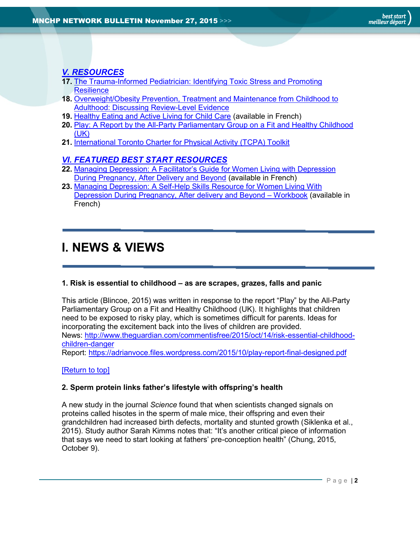## *[V. RESOURCES](#page-8-0)*

- **17.** [The Trauma-Informed Pediatrician: Identifying Toxic Stress and Promoting](#page-8-1)  **[Resilience](#page-8-1)**
- **18.** [Overweight/Obesity Prevention, Treatment and Maintenance from Childhood to](#page-8-2)  [Adulthood: Discussing Review-Level Evidence](#page-8-2)
- **19.** [Healthy Eating and Active Living for Child Care](#page-8-3) (available in French)
- **20.** [Play: A Report by the All-Party Parliamentary Group on a Fit and Healthy Childhood](#page-9-0)  [\(UK\)](#page-9-0)
- **21.** [International Toronto Charter for Physical Activity \(TCPA\) Toolkit](#page-9-1)

#### *[VI. FEATURED BEST START RESOURCES](#page-10-1)*

- **22.** Managing Depression: A Fa[cilitator's Guide for Women Living with Depression](#page-10-2)  [During Pregnancy, After Delivery and Beyond](#page-10-2) (available in French)
- **23.** [Managing Depression: A Self-Help Skills Resource for Women Living With](#page-10-3)  [Depression During Pregnancy, After delivery and Beyond](#page-10-3) – Workbook (available in French)

## <span id="page-1-0"></span>**I. NEWS & VIEWS**

#### <span id="page-1-1"></span>**1. Risk is essential to childhood – as are scrapes, grazes, falls and panic**

This article (Blincoe, 2015) was written in response to the report "Play" by the All-Party Parliamentary Group on a Fit and Healthy Childhood (UK). It highlights that children need to be exposed to risky play, which is sometimes difficult for parents. Ideas for incorporating the excitement back into the lives of children are provided. News: [http://www.theguardian.com/commentisfree/2015/oct/14/risk-essential-childhood](http://www.theguardian.com/commentisfree/2015/oct/14/risk-essential-childhood-children-danger)[children-danger](http://www.theguardian.com/commentisfree/2015/oct/14/risk-essential-childhood-children-danger) Report:<https://adrianvoce.files.wordpress.com/2015/10/play-report-final-designed.pdf>

[\[Return to top\]](#page-0-0)

#### <span id="page-1-2"></span>**2. Sperm protein links father's lifestyle with offspring's health**

A new study in the journal *Science* found that when scientists changed signals on proteins called hisotes in the sperm of male mice, their offspring and even their grandchildren had increased birth defects, mortality and stunted growth (Siklenka et al., 2015). Study author Sarah Kimms notes that: "It's another critical piece of information that says we need to start looking at fathers' pre-conception health" (Chung, 2015, October 9).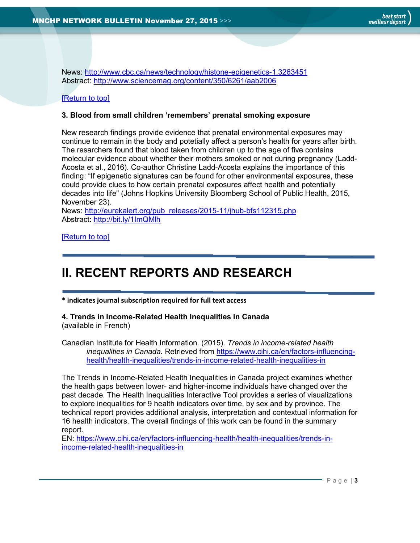News:<http://www.cbc.ca/news/technology/histone-epigenetics-1.3263451> Abstract:<http://www.sciencemag.org/content/350/6261/aab2006>

#### [\[Return to top\]](#page-0-0)

#### <span id="page-2-0"></span>**3. Blood from small children 'remembers' prenatal smoking exposure**

New research findings provide evidence that prenatal environmental exposures may continue to remain in the body and potetially affect a person's health for years after birth. The resarchers found that blood taken from children up to the age of five contains molecular evidence about whether their mothers smoked or not during pregnancy (Ladd-Acosta et al., 2016). Co-author Christine Ladd-Acosta explains the importance of this finding: "If epigenetic signatures can be found for other environmental exposures, these could provide clues to how certain prenatal exposures affect health and potentially decades into life" (Johns Hopkins University Bloomberg School of Public Health, 2015, November 23).

News: [http://eurekalert.org/pub\\_releases/2015-11/jhub-bfs112315.php](http://eurekalert.org/pub_releases/2015-11/jhub-bfs112315.php) Abstract:<http://bit.ly/1ImQMlh>

[\[Return to top\]](#page-0-0)

# <span id="page-2-1"></span>**II. RECENT REPORTS AND RESEARCH**

**\* indicates journal subscription required for full text access**

#### <span id="page-2-2"></span>**4. Trends in Income-Related Health Inequalities in Canada** (available in French)

Canadian Institute for Health Information. (2015). *Trends in income-related health inequalities in Canada*. Retrieved from [https://www.cihi.ca/en/factors-influencing](https://www.cihi.ca/en/factors-influencing-health/health-inequalities/trends-in-income-related-health-inequalities-in)[health/health-inequalities/trends-in-income-related-health-inequalities-in](https://www.cihi.ca/en/factors-influencing-health/health-inequalities/trends-in-income-related-health-inequalities-in)

The Trends in Income-Related Health Inequalities in Canada project examines whether the health gaps between lower- and higher-income individuals have changed over the past decade. The Health Inequalities Interactive Tool provides a series of visualizations to explore inequalities for 9 health indicators over time, by sex and by province. The technical report provides additional analysis, interpretation and contextual information for 16 health indicators. The overall findings of this work can be found in the summary report.

EN: [https://www.cihi.ca/en/factors-influencing-health/health-inequalities/trends-in](https://www.cihi.ca/en/factors-influencing-health/health-inequalities/trends-in-income-related-health-inequalities-in)[income-related-health-inequalities-in](https://www.cihi.ca/en/factors-influencing-health/health-inequalities/trends-in-income-related-health-inequalities-in)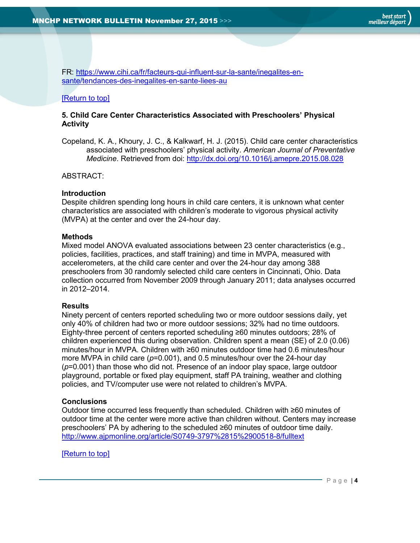FR: [https://www.cihi.ca/fr/facteurs-qui-influent-sur-la-sante/inegalites-en](https://www.cihi.ca/fr/facteurs-qui-influent-sur-la-sante/inegalites-en-sante/tendances-des-inegalites-en-sante-liees-au)[sante/tendances-des-inegalites-en-sante-liees-au](https://www.cihi.ca/fr/facteurs-qui-influent-sur-la-sante/inegalites-en-sante/tendances-des-inegalites-en-sante-liees-au)

#### [\[Return to top\]](#page-0-0)

#### <span id="page-3-0"></span>**5. Child Care Center Characteristics Associated with Preschoolers' Physical Activity**

Copeland, K. A., Khoury, J. C., & Kalkwarf, H. J. (2015). Child care center characteristics associated with preschoolers' physical activity. *American Journal of Preventative Medicine*. Retrieved from doi: <http://dx.doi.org/10.1016/j.amepre.2015.08.028>

#### ABSTRACT:

#### **Introduction**

Despite children spending long hours in child care centers, it is unknown what center characteristics are associated with children's moderate to vigorous physical activity (MVPA) at the center and over the 24-hour day.

#### **Methods**

Mixed model ANOVA evaluated associations between 23 center characteristics (e.g., policies, facilities, practices, and staff training) and time in MVPA, measured with accelerometers, at the child care center and over the 24-hour day among 388 preschoolers from 30 randomly selected child care centers in Cincinnati, Ohio. Data collection occurred from November 2009 through January 2011; data analyses occurred in 2012–2014.

#### **Results**

Ninety percent of centers reported scheduling two or more outdoor sessions daily, yet only 40% of children had two or more outdoor sessions; 32% had no time outdoors. Eighty-three percent of centers reported scheduling ≥60 minutes outdoors; 28% of children experienced this during observation. Children spent a mean (SE) of 2.0 (0.06) minutes/hour in MVPA. Children with ≥60 minutes outdoor time had 0.6 minutes/hour more MVPA in child care ( $p=0.001$ ), and 0.5 minutes/hour over the 24-hour day (*p*=0.001) than those who did not. Presence of an indoor play space, large outdoor playground, portable or fixed play equipment, staff PA training, weather and clothing policies, and TV/computer use were not related to children's MVPA.

#### **Conclusions**

Outdoor time occurred less frequently than scheduled. Children with ≥60 minutes of outdoor time at the center were more active than children without. Centers may increase preschoolers' PA by adhering to the scheduled ≥60 minutes of outdoor time daily. <http://www.ajpmonline.org/article/S0749-3797%2815%2900518-8/fulltext>

#### [\[Return to top\]](#page-0-0)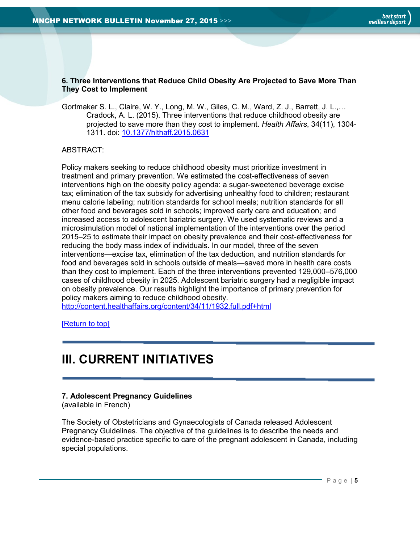#### <span id="page-4-0"></span>**6. Three Interventions that Reduce Child Obesity Are Projected to Save More Than They Cost to Implement**

Gortmaker S. L., Claire, W. Y., Long, M. W., Giles, C. M., Ward, Z. J., Barrett, J. L.,… Cradock, A. L. (2015). Three interventions that reduce childhood obesity are projected to save more than they cost to implement. *Health Affairs*, 34(11), 1304- 1311. doi: [10.1377/hlthaff.2015.0631](http://content.healthaffairs.org/content/34/11/1932.full.pdf+html)

#### ABSTRACT:

Policy makers seeking to reduce childhood obesity must prioritize investment in treatment and primary prevention. We estimated the cost-effectiveness of seven interventions high on the obesity policy agenda: a sugar-sweetened beverage excise tax; elimination of the tax subsidy for advertising unhealthy food to children; restaurant menu calorie labeling; nutrition standards for school meals; nutrition standards for all other food and beverages sold in schools; improved early care and education; and increased access to adolescent bariatric surgery. We used systematic reviews and a microsimulation model of national implementation of the interventions over the period 2015–25 to estimate their impact on obesity prevalence and their cost-effectiveness for reducing the body mass index of individuals. In our model, three of the seven interventions—excise tax, elimination of the tax deduction, and nutrition standards for food and beverages sold in schools outside of meals—saved more in health care costs than they cost to implement. Each of the three interventions prevented 129,000–576,000 cases of childhood obesity in 2025. Adolescent bariatric surgery had a negligible impact on obesity prevalence. Our results highlight the importance of primary prevention for policy makers aiming to reduce childhood obesity.

<http://content.healthaffairs.org/content/34/11/1932.full.pdf+html>

[\[Return to top\]](#page-0-0)

## <span id="page-4-1"></span>**III. CURRENT INITIATIVES**

#### <span id="page-4-2"></span>**7. Adolescent Pregnancy Guidelines**

(available in French)

The Society of Obstetricians and Gynaecologists of Canada released Adolescent Pregnancy Guidelines. The objective of the guidelines is to describe the needs and evidence-based practice specific to care of the pregnant adolescent in Canada, including special populations.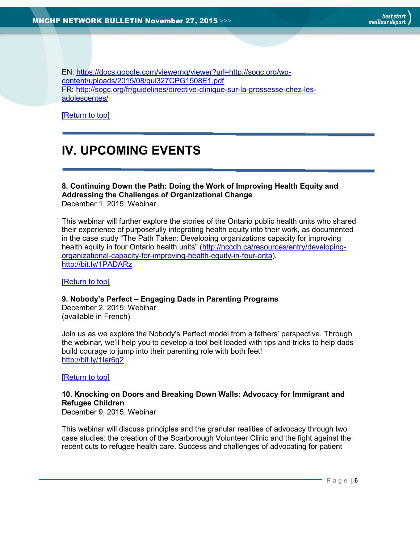EN: [https://docs.google.com/viewerng/viewer?url=http://sogc.org/wp](https://docs.google.com/viewerng/viewer?url=http://sogc.org/wp-content/uploads/2015/08/gui327CPG1508E1.pdf)[content/uploads/2015/08/gui327CPG1508E1.pdf](https://docs.google.com/viewerng/viewer?url=http://sogc.org/wp-content/uploads/2015/08/gui327CPG1508E1.pdf) FR: [http://sogc.org/fr/guidelines/directive-clinique-sur-la-grossesse-chez-les](http://sogc.org/fr/guidelines/directive-clinique-sur-la-grossesse-chez-les-adolescentes/)[adolescentes/](http://sogc.org/fr/guidelines/directive-clinique-sur-la-grossesse-chez-les-adolescentes/)

<span id="page-5-0"></span>[\[Return to top\]](#page-0-0)

# **IV. UPCOMING EVENTS**

## <span id="page-5-1"></span>**8. Continuing Down the Path: Doing the Work of Improving Health Equity and Addressing the Challenges of Organizational Change**

December 1, 2015: Webinar

This webinar will further explore the stories of the Ontario public health units who shared their experience of purposefully integrating health equity into their work, as documented in the case study "The Path Taken: Developing organizations capacity for improving health equity in four Ontario health units" ([http://nccdh.ca/resources/entry/developing](http://nccdh.ca/resources/entry/developing-organizational-capacity-for-improving-health-equity-in-four-onta)[organizational-capacity-for-improving-health-equity-in-four-onta\)](http://nccdh.ca/resources/entry/developing-organizational-capacity-for-improving-health-equity-in-four-onta). <http://bit.ly/1PADARz>

[\[Return to top\]](#page-0-0)

#### <span id="page-5-2"></span>**9. Nobody's Perfect – Engaging Dads in Parenting Programs**

December 2, 2015: Webinar (available in French)

Join us as we explore the Nobody's Perfect model from a fathers' perspective. Through the webinar, we'll help you to develop a tool belt loaded with tips and tricks to help dads build courage to jump into their parenting role with both feet! <http://bit.ly/1Ier6g2>

[\[Return to top\]](#page-0-0)

#### <span id="page-5-3"></span>**10. Knocking on Doors and Breaking Down Walls: Advocacy for Immigrant and Refugee Children**

December 9, 2015: Webinar

This webinar will discuss principles and the granular realities of advocacy through two case studies: the creation of the Scarborough Volunteer Clinic and the fight against the recent cuts to refugee health care. Success and challenges of advocating for patient

P a g e | **6**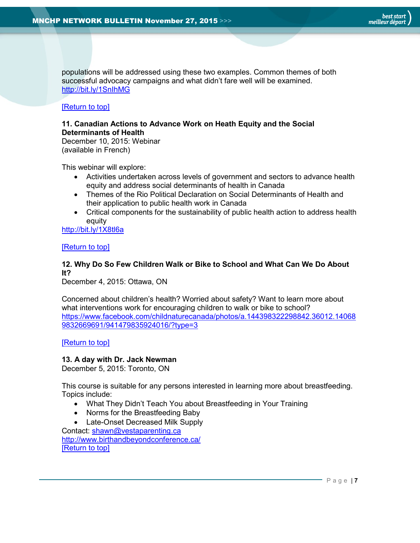populations will be addressed using these two examples. Common themes of both successful advocacy campaigns and what didn't fare well will be examined. <http://bit.ly/1SnIhMG>

#### [\[Return to top\]](#page-0-0)

#### <span id="page-6-0"></span>**11. Canadian Actions to Advance Work on Heath Equity and the Social Determinants of Health**

December 10, 2015: Webinar (available in French)

This webinar will explore:

- Activities undertaken across levels of government and sectors to advance health equity and address social determinants of health in Canada
- Themes of the Rio Political Declaration on Social Determinants of Health and their application to public health work in Canada
- Critical components for the sustainability of public health action to address health equity

<http://bit.ly/1X8tl6a>

#### [\[Return to top\]](#page-0-0)

#### <span id="page-6-1"></span>**12. Why Do So Few Children Walk or Bike to School and What Can We Do About It?**

December 4, 2015: Ottawa, ON

Concerned about children's health? Worried about safety? Want to learn more about what interventions work for encouraging children to walk or bike to school? [https://www.facebook.com/childnaturecanada/photos/a.144398322298842.36012.14068](https://www.facebook.com/childnaturecanada/photos/a.144398322298842.36012.140689832669691/941479835924016/?type=3) [9832669691/941479835924016/?type=3](https://www.facebook.com/childnaturecanada/photos/a.144398322298842.36012.140689832669691/941479835924016/?type=3)

#### [\[Return to top\]](#page-0-0)

#### <span id="page-6-2"></span>**13. A day with Dr. Jack Newman**

December 5, 2015: Toronto, ON

This course is suitable for any persons interested in learning more about breastfeeding. Topics include:

- What They Didn't Teach You about Breastfeeding in Your Training
- Norms for the Breastfeeding Baby
- Late-Onset Decreased Milk Supply

Contact: [shawn@vestaparenting.ca](mailto:shawn@vestaparenting.ca) <http://www.birthandbeyondconference.ca/> [\[Return to top\]](#page-0-0)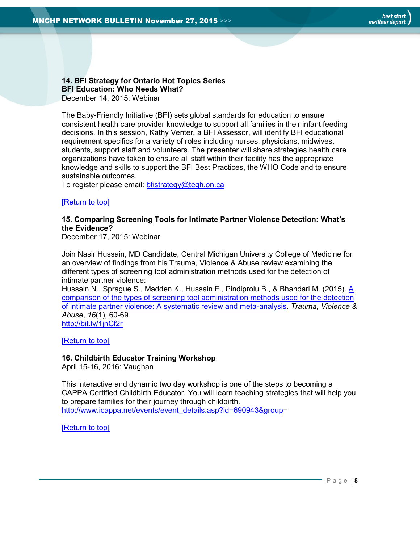#### <span id="page-7-0"></span>**14. BFI Strategy for Ontario Hot Topics Series BFI Education: Who Needs What?** December 14, 2015: Webinar

The Baby-Friendly Initiative (BFI) sets global standards for education to ensure consistent health care provider knowledge to support all families in their infant feeding decisions. In this session, Kathy Venter, a BFI Assessor, will identify BFI educational requirement specifics for a variety of roles including nurses, physicians, midwives, students, support staff and volunteers. The presenter will share strategies health care organizations have taken to ensure all staff within their facility has the appropriate knowledge and skills to support the BFI Best Practices, the WHO Code and to ensure sustainable outcomes.

To register please email: [bfistrategy@tegh.on.ca](mailto:bfistrategy@tegh.on.ca)

#### [\[Return to top\]](#page-0-0)

#### <span id="page-7-1"></span>**15. Comparing Screening Tools for Intimate Partner Violence Detection: What's the Evidence?**

December 17, 2015: Webinar

Join Nasir Hussain, MD Candidate, Central Michigan University College of Medicine for an overview of findings from his Trauma, Violence & Abuse review examining the different types of screening tool administration methods used for the detection of intimate partner violence:

Hussain N., Sprague S., Madden K., Hussain F., Pindiprolu B., & Bhandari M. (2015). [A](http://email.health-evidence.ca/wf/click?upn=OsTCTZHSiHnYgu8T-2Fc4V1PoH3Z5-2BtKkt-2B1H1MYAg5kJMgPEVwV8D9c-2FGxL9YnesIwJ6iF-2F3M6qZXca8luekYnPnaGJx-2F2aWRfp7eTcOIaEo-3D_eD1pMRUbfv4J3ZBqziJM-2Fa83HWR19RN-2BBMmm2W-2Fda-2FFIZkq9rDp8x7NOzk5w94yQCiZ55Iw-2F2bgrgS7SmeBbxF-2Bv010ljKMHq4nBoLNJX4FwCJ2KFnp4xRlZ8aiNOC3vbycM57mmCHWWzLHClfmvceZrjk7p09mL6O6xTnpH2BrgU6EQVDuN89YLLAkAZO1gSwXsLybJlOM-2FbO27Jbovm-2FdF4YdM1Oe88tty1hDzTo7-2FNDb3ICv0pYMiZvnCUCMNq8aWhidVMDV9T9EWq22RzTL2WaSyGwXwdFp8fV-2F2ZbJp8D3jMTH6PzQgD3fpm0VS)  [comparison of the types of screening tool administration methods used for the detection](http://email.health-evidence.ca/wf/click?upn=OsTCTZHSiHnYgu8T-2Fc4V1PoH3Z5-2BtKkt-2B1H1MYAg5kJMgPEVwV8D9c-2FGxL9YnesIwJ6iF-2F3M6qZXca8luekYnPnaGJx-2F2aWRfp7eTcOIaEo-3D_eD1pMRUbfv4J3ZBqziJM-2Fa83HWR19RN-2BBMmm2W-2Fda-2FFIZkq9rDp8x7NOzk5w94yQCiZ55Iw-2F2bgrgS7SmeBbxF-2Bv010ljKMHq4nBoLNJX4FwCJ2KFnp4xRlZ8aiNOC3vbycM57mmCHWWzLHClfmvceZrjk7p09mL6O6xTnpH2BrgU6EQVDuN89YLLAkAZO1gSwXsLybJlOM-2FbO27Jbovm-2FdF4YdM1Oe88tty1hDzTo7-2FNDb3ICv0pYMiZvnCUCMNq8aWhidVMDV9T9EWq22RzTL2WaSyGwXwdFp8fV-2F2ZbJp8D3jMTH6PzQgD3fpm0VS)  [of intimate partner violence: A systematic review and meta-analysis.](http://email.health-evidence.ca/wf/click?upn=OsTCTZHSiHnYgu8T-2Fc4V1PoH3Z5-2BtKkt-2B1H1MYAg5kJMgPEVwV8D9c-2FGxL9YnesIwJ6iF-2F3M6qZXca8luekYnPnaGJx-2F2aWRfp7eTcOIaEo-3D_eD1pMRUbfv4J3ZBqziJM-2Fa83HWR19RN-2BBMmm2W-2Fda-2FFIZkq9rDp8x7NOzk5w94yQCiZ55Iw-2F2bgrgS7SmeBbxF-2Bv010ljKMHq4nBoLNJX4FwCJ2KFnp4xRlZ8aiNOC3vbycM57mmCHWWzLHClfmvceZrjk7p09mL6O6xTnpH2BrgU6EQVDuN89YLLAkAZO1gSwXsLybJlOM-2FbO27Jbovm-2FdF4YdM1Oe88tty1hDzTo7-2FNDb3ICv0pYMiZvnCUCMNq8aWhidVMDV9T9EWq22RzTL2WaSyGwXwdFp8fV-2F2ZbJp8D3jMTH6PzQgD3fpm0VS) *Trauma, Violence & Abuse*, *16*(1), 60-69. <http://bit.ly/1jnCf2r>

[\[Return to top\]](#page-0-0)

## <span id="page-7-2"></span>**16. Childbirth Educator Training Workshop**

April 15-16, 2016: Vaughan

This interactive and dynamic two day workshop is one of the steps to becoming a CAPPA Certified Childbirth Educator. You will learn teaching strategies that will help you to prepare families for their journey through childbirth. [http://www.icappa.net/events/event\\_details.asp?id=690943&group=](http://www.icappa.net/events/event_details.asp?id=690943&group)

[\[Return to top\]](#page-0-0)

P a g e | **8**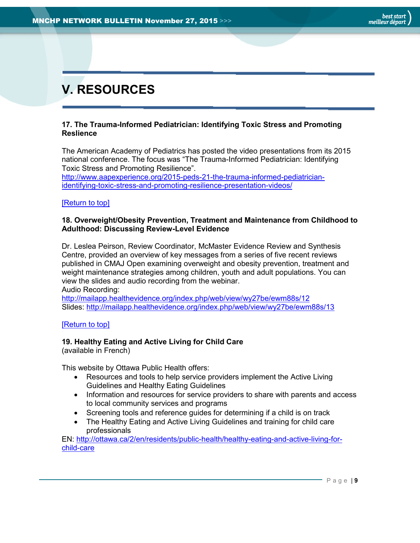# <span id="page-8-0"></span>**V. RESOURCES**

#### <span id="page-8-1"></span>**17. The Trauma-Informed Pediatrician: Identifying Toxic Stress and Promoting Reslience**

The American Academy of Pediatrics has posted the video presentations from its 2015 national conference. The focus was "The Trauma-Informed Pediatrician: Identifying Toxic Stress and Promoting Resilience".

[http://www.aapexperience.org/2015-peds-21-the-trauma-informed-pediatrician](http://www.aapexperience.org/2015-peds-21-the-trauma-informed-pediatrician-identifying-toxic-stress-and-promoting-resilience-presentation-videos/)[identifying-toxic-stress-and-promoting-resilience-presentation-videos/](http://www.aapexperience.org/2015-peds-21-the-trauma-informed-pediatrician-identifying-toxic-stress-and-promoting-resilience-presentation-videos/)

#### [\[Return to top\]](#page-0-0)

#### <span id="page-8-2"></span>**18. Overweight/Obesity Prevention, Treatment and Maintenance from Childhood to Adulthood: Discussing Review-Level Evidence**

Dr. Leslea Peirson, Review Coordinator, McMaster Evidence Review and Synthesis Centre, provided an overview of key messages from a series of five recent reviews published in CMAJ Open examining overweight and obesity prevention, treatment and weight maintenance strategies among children, youth and adult populations. You can view the slides and audio recording from the webinar.

Audio Recording:

[http://mailapp.healthevidence.org/index.php/web/view/wy27be/ewm88s/12](http://email.health-evidence.ca/wf/click?upn=OsTCTZHSiHnYgu8T-2Fc4V1PoH3Z5-2BtKkt-2B1H1MYAg5kJMgPEVwV8D9c-2FGxL9YnesIwJ6iF-2F3M6qZXca8luekYnL47RqPN9Jb-2FACEbjg3zPqU-3D_eD1pMRUbfv4J3ZBqziJM-2Fa83HWR19RN-2BBMmm2W-2Fda-2FFIZkq9rDp8x7NOzk5w94yQCiZ55Iw-2F2bgrgS7SmeBbxF-2Bv010ljKMHq4nBoLNJX4FwCJ2KFnp4xRlZ8aiNOC3vEX6Zi6hqQI9fvYYR49QkiMHsKs-2BKUb1krFiR-2B4tF3hW4Zy4m1Y4Y07kj0lOJKqG8OH-2BlDi-2Fw-2FFPL9Wr0Os-2Fq5Bhwa8RMC2zPCCd8dPECuh548wCpIrOig5giWyhJKudlHZZEAUNQTxb1nVOVM61Cr79aRzMQ7uD4-2BfwfDwRHnPCPYyo2vGmEpgH44pESsNsw) Slides: [http://mailapp.healthevidence.org/index.php/web/view/wy27be/ewm88s/13](http://email.health-evidence.ca/wf/click?upn=OsTCTZHSiHnYgu8T-2Fc4V1PoH3Z5-2BtKkt-2B1H1MYAg5kJMgPEVwV8D9c-2FGxL9YnesIwJ6iF-2F3M6qZXca8luekYnCoxn7RYbdVBXbHTdvWQBVw-3D_eD1pMRUbfv4J3ZBqziJM-2Fa83HWR19RN-2BBMmm2W-2Fda-2FFIZkq9rDp8x7NOzk5w94yQCiZ55Iw-2F2bgrgS7SmeBbxF-2Bv010ljKMHq4nBoLNJX4FwCJ2KFnp4xRlZ8aiNOC3vLFaiwLpkcjtX2X10Xwu6b2hSBn5SDIBaq1ssnRUaQnUYNLf7hN-2FiZoTuTkDNXnt9PHVpuLcTUYTFQPctJbbDKQDNfRXayhRrDrcQeZuaeQttM30mls2L3W46pflnyA9BFtue7o2Uwl-2BVC0tOCmh2zxr7pNt09v14F93PWJ4iXMU7BtlB9yiGmsEDOR4Dt-2B0j)

#### [\[Return to top\]](#page-0-0)

#### <span id="page-8-3"></span>**19. Healthy Eating and Active Living for Child Care**

(available in French)

This website by Ottawa Public Health offers:

- Resources and tools to help service providers implement the Active Living Guidelines and Healthy Eating Guidelines
- Information and resources for service providers to share with parents and access to local community services and programs
- Screening tools and reference guides for determining if a child is on track
- The Healthy Eating and Active Living Guidelines and training for child care professionals

EN: [http://ottawa.ca/2/en/residents/public-health/healthy-eating-and-active-living-for](http://ottawa.ca/2/en/residents/public-health/healthy-eating-and-active-living-for-child-care)[child-care](http://ottawa.ca/2/en/residents/public-health/healthy-eating-and-active-living-for-child-care)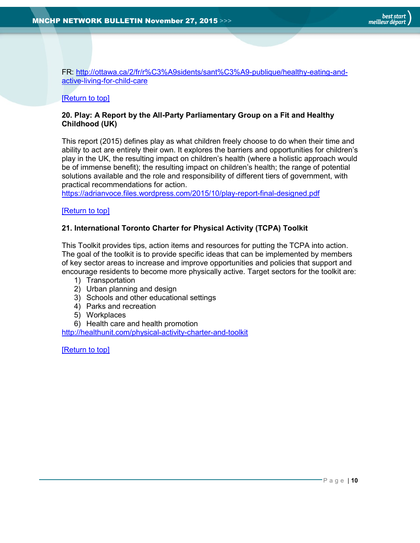FR: [http://ottawa.ca/2/fr/r%C3%A9sidents/sant%C3%A9-publique/healthy-eating-and](http://ottawa.ca/2/fr/r%C3%A9sidents/sant%C3%A9-publique/healthy-eating-and-active-living-for-child-care)[active-living-for-child-care](http://ottawa.ca/2/fr/r%C3%A9sidents/sant%C3%A9-publique/healthy-eating-and-active-living-for-child-care)

#### [\[Return to top\]](#page-0-0)

#### <span id="page-9-0"></span>**20. Play: A Report by the All-Party Parliamentary Group on a Fit and Healthy Childhood (UK)**

This report (2015) defines play as what children freely choose to do when their time and ability to act are entirely their own. It explores the barriers and opportunities for children's play in the UK, the resulting impact on children's health (where a holistic approach would be of immense benefit); the resulting impact on children's health; the range of potential solutions available and the role and responsibility of different tiers of government, with practical recommendations for action.

<https://adrianvoce.files.wordpress.com/2015/10/play-report-final-designed.pdf>

#### [\[Return to top\]](#page-0-0)

#### <span id="page-9-1"></span>**21. International Toronto Charter for Physical Activity (TCPA) Toolkit**

This Toolkit provides tips, action items and resources for putting the TCPA into action. The goal of the toolkit is to provide specific ideas that can be implemented by members of key sector areas to increase and improve opportunities and policies that support and encourage residents to become more physically active. Target sectors for the toolkit are:

- 1) Transportation
- 2) Urban planning and design
- 3) Schools and other educational settings
- 4) Parks and recreation
- 5) Workplaces
- 6) Health care and health promotion

<http://healthunit.com/physical-activity-charter-and-toolkit>

[\[Return to top\]](#page-0-0)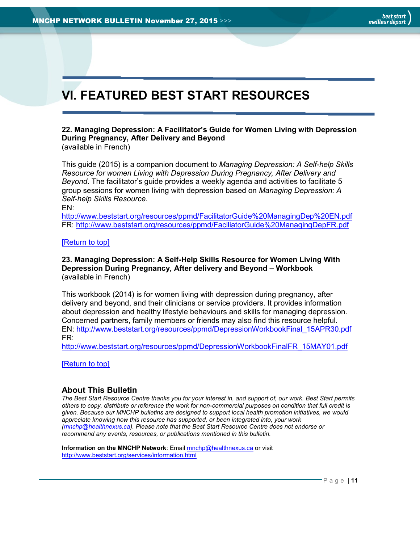# <span id="page-10-1"></span>**VI. FEATURED BEST START RESOURCES**

## <span id="page-10-2"></span>**22. Managing Depression: A Facilitator's Guide for Women Living with Depression During Pregnancy, After Delivery and Beyond**

(available in French)

This guide (2015) is a companion document to *Managing Depression: A Self-help Skills Resource for women Living with Depression During Pregnancy, After Delivery and Beyond*. The facilitator's guide provides a weekly agenda and activities to facilitate 5 group sessions for women living with depression based on *Managing Depression: A Self-help Skills Resource*.

EN:

<http://www.beststart.org/resources/ppmd/FacilitatorGuide%20ManagingDep%20EN.pdf> FR:<http://www.beststart.org/resources/ppmd/FaciliatorGuide%20ManagingDepFR.pdf>

#### [\[Return to top\]](#page-0-0)

#### <span id="page-10-3"></span>**23. Managing Depression: A Self-Help Skills Resource for Women Living With Depression During Pregnancy, After delivery and Beyond – Workbook** (available in French)

This workbook (2014) is for women living with depression during pregnancy, after delivery and beyond, and their clinicians or service providers. It provides information about depression and healthy lifestyle behaviours and skills for managing depression. Concerned partners, family members or friends may also find this resource helpful. EN: [http://www.beststart.org/resources/ppmd/DepressionWorkbookFinal\\_15APR30.pdf](http://www.beststart.org/resources/ppmd/DepressionWorkbookFinal_15APR30.pdf) FR:

[http://www.beststart.org/resources/ppmd/DepressionWorkbookFinalFR\\_15MAY01.pdf](http://www.beststart.org/resources/ppmd/DepressionWorkbookFinalFR_15MAY01.pdf)

[\[Return to top\]](#page-0-0)

#### <span id="page-10-0"></span>**About This Bulletin**

*The Best Start Resource Centre thanks you for your interest in, and support of, our work. Best Start permits others to copy, distribute or reference the work for non-commercial purposes on condition that full credit is given. Because our MNCHP bulletins are designed to support local health promotion initiatives, we would appreciate knowing how this resource has supported, or been integrated into, your work [\(mnchp@healthnexus.ca\)](mailto:mnchp@healthnexus.ca). Please note that the Best Start Resource Centre does not endorse or recommend any events, resources, or publications mentioned in this bulletin.* 

**Information on the MNCHP Network:** Email **mnchp@healthnexus.ca** or visit <http://www.beststart.org/services/information.html>